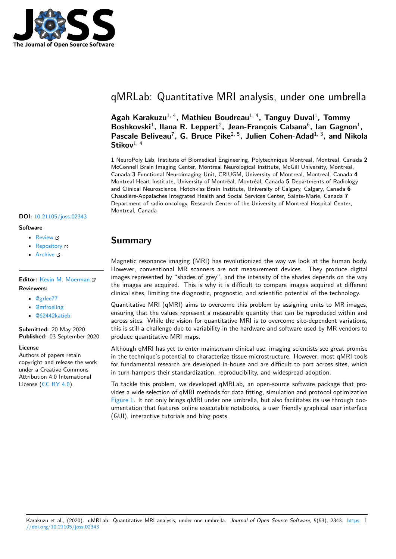

# qMRLab: Quantitative MRI analysis, under one umbrella

**Agah Karakuzu**1, 4**, Mathieu Boudreau**1, 4**, Tanguy Duval**<sup>1</sup> **, Tommy** Boshkovski<sup>1</sup>, Ilana R. Leppert<sup>2</sup>, Jean-François Cabana<sup>6</sup>, Ian Gagnon<sup>1</sup>, Pascale Beliveau<sup>7</sup>, G. Bruce Pike<sup>2, 5</sup>, Julien Cohen-Adad<sup>1, 3</sup>, and Nikola Stikov<sup>1, 4</sup>

**1** NeuroPoly Lab, Institute of Biomedical Engineering, Polytechnique Montreal, Montreal, Canada **2** McConnell Brain Imaging Center, Montreal Neurological Institute, McGill University, Montreal, Canada **3** Functional Neuroimaging Unit, CRIUGM, University of Montreal, Montreal, Canada **4** Montreal Heart Institute, University of Montréal, Montréal, Canada **5** Departments of Radiology and Clinical Neuroscience, Hotchkiss Brain Institute, University of Calgary, Calgary, Canada **6** Chaudière-Appalaches Integrated Health and Social Services Center, Sainte-Marie, Canada **7** Department of radio-oncology, Research Center of the University of Montreal Hospital Center, Montreal, Canada

#### **DOI:** 10.21105/joss.02343

#### **Software**

- Review C
- [Repository](https://doi.org/10.21105/joss.02343) &
- Archive &

### **Editor:** [Kevin M.](https://github.com/qMRLab/qMRLab) Moerman **Revie[wers:](https://doi.org/10.5281/zenodo.4012104)**

- @grlee77
- @mfroeling
- @[62442katieb](https://kevinmoerman.org)

**Subm[itted:](https://github.com/grlee77)** 20 May 2020 **Published:** [03 Se](https://github.com/mfroeling)ptember 2020

#### **Licen[se](https://github.com/62442katieb)**

Authors of papers retain copyright and release the work under a Creative Commons Attribution 4.0 International License (CC BY 4.0).

## **Summary**

Magnetic resonance imaging (MRI) has revolutionized the way we look at the human body. However, conventional MR scanners are not measurement devices. They produce digital images represented by "shades of grey", and the intensity of the shades depends on the way the images are acquired. This is why it is difficult to compare images acquired at different clinical sites, limiting the diagnostic, prognostic, and scientific potential of the technology.

Quantitative MRI (qMRI) aims to overcome this problem by assigning units to MR images, ensuring that the values represent a measurable quantity that can be reproduced within and across sites. While the vision for quantitative MRI is to overcome site-dependent variations, this is still a challenge due to variability in the hardware and software used by MR vendors to produce quantitative MRI maps.

Although qMRI has yet to enter mainstream clinical use, imaging scientists see great promise in the technique's potential to characterize tissue microstructure. However, most qMRI tools for fundamental research are developed in-house and are difficult to port across sites, which in turn hampers their standardization, reproducibility, and widespread adoption.

To tackle this problem, we developed qMRLab, an open-source software package that provides a wide selection of qMRI methods for data fitting, simulation and protocol optimization Figure 1. It not only brings qMRI under one umbrella, but also facilitates its use through documentation that features online executable notebooks, a user friendly graphical user interface (GUI), interactive tutorials and blog posts.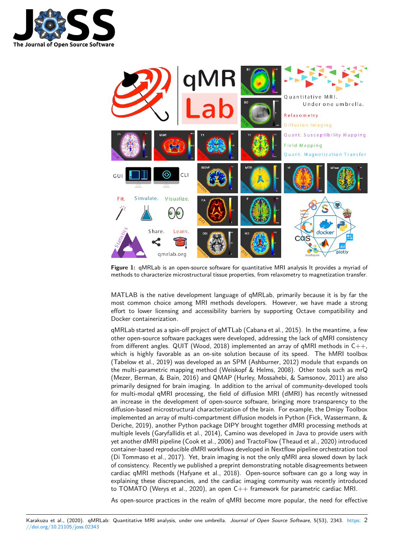



**Figure 1:** qMRLab is an open-source software for quantitative MRI analysis It provides a myriad of methods to characterize microstructural tissue properties, from relaxometry to magnetization transfer.

MATLAB is the native development language of qMRLab, primarily because it is by far the most common choice among MRI methods developers. However, we have made a strong effort to lower licensing and accessibility barriers by supporting Octave compatibility and Docker containerization.

qMRLab started as a spin-off project of qMTLab (Cabana et al., 2015). In the meantime, a few other open-source software packages were developed, addressing the lack of qMRI consistency from different angles. QUIT (Wood, 2018) implemented an array of qMRI methods in  $C_{++}$ , which is highly favorable as an on-site solution because of its speed. The hMRI toolbox (Tabelow et al., 2019) was developed as an SPM (Ashburner, 2012) module that expands on the multi-parametric mapping method (Weiskopf & Helms, 2008). Other tools such as mrQ (Mezer, Berman, & Bain, 2016) and QMAP (Hurley, Mossahebi, & Samsonov, 2011) are also primarily designed for brain imaging. In addition to the arrival of community-developed tools for multi-modal qMRI processing, the field of diffusion MRI (dMRI) has recently witnessed an increase in the development of open-source software, bringing more transparency to the diffusion-based microstructural characterization of the brain. For example, the Dmipy Toolbox implemented an array of multi-compartment diffusion models in Python (Fick, Wassermann, & Deriche, 2019), another Python package DIPY brought together dMRI processing methods at multiple levels (Garyfallidis et al., 2014), Camino was developed in Java to provide users with yet another dMRI pipeline (Cook et al., 2006) and TractoFlow (Theaud et al., 2020) introduced container-based reproducible dMRI workflows developed in Nextflow pipeline orchestration tool (Di Tommaso et al., 2017). Yet, brain imaging is not the only qMRI area slowed down by lack of consistency. Recently we published a preprint demonstrating notable disagreements between cardiac qMRI methods (Hafyane et al., 2018). Open-source software can go a long way in explaining these discrepancies, and the cardiac imaging community was recently introduced to TOMATO (Werys et al., 2020), an open  $C++$  framework for parametric cardiac MRI.

As open-source practices in the realm of qMRI become more popular, the need for effective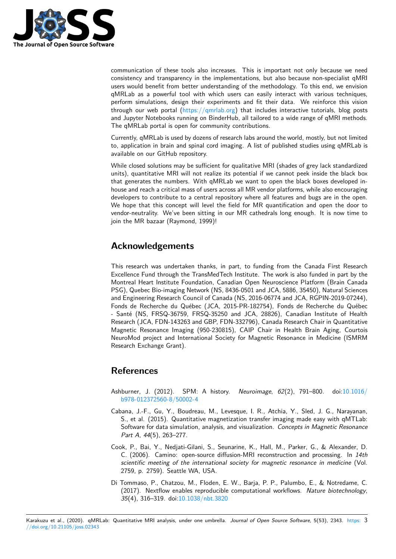

communication of these tools also increases. This is important not only because we need consistency and transparency in the implementations, but also because non-specialist qMRI users would benefit from better understanding of the methodology. To this end, we envision qMRLab as a powerful tool with which users can easily interact with various techniques, perform simulations, design their experiments and fit their data. We reinforce this vision through our web portal (https://qmrlab.org) that includes interactive tutorials, blog posts and Jupyter Notebooks running on BinderHub, all tailored to a wide range of qMRI methods. The qMRLab portal is open for community contributions.

Currently, qMRLab is used by dozens of research labs around the world, mostly, but not limited to, application in brain a[nd spinal cord imagi](https://qmrlab.org)ng. A list of published studies using qMRLab is available on our GitHub repository.

While closed solutions may be sufficient for qualitative MRI (shades of grey lack standardized units), quantitative MRI will not realize its potential if we cannot peek inside the black box that generates the numbers. With qMRLab we want to open the black boxes developed inhouse and reach a critical mass of users across all MR vendor platforms, while also encouraging developers to contribute to a central repository where all features and bugs are in the open. We hope that this concept will level the field for MR quantification and open the door to vendor-neutrality. We've been sitting in our MR cathedrals long enough. It is now time to join the MR bazaar (Raymond, 1999)!

## **Acknowledgements**

This research was undertaken thanks, in part, to funding from the Canada First Research Excellence Fund through the TransMedTech Institute. The work is also funded in part by the Montreal Heart Institute Foundation, Canadian Open Neuroscience Platform (Brain Canada PSG), Quebec Bio-imaging Network (NS, 8436-0501 and JCA, 5886, 35450), Natural Sciences and Engineering Research Council of Canada (NS, 2016-06774 and JCA, RGPIN-2019-07244), Fonds de Recherche du Québec (JCA, 2015-PR-182754), Fonds de Recherche du Québec - Santé (NS, FRSQ-36759, FRSQ-35250 and JCA, 28826), Canadian Institute of Health Research (JCA, FDN-143263 and GBP, FDN-332796), Canada Research Chair in Quantitative Magnetic Resonance Imaging (950-230815), CAIP Chair in Health Brain Aging, Courtois NeuroMod project and International Society for Magnetic Resonance in Medicine (ISMRM Research Exchange Grant).

### **References**

- Ashburner, J. (2012). SPM: A history. *Neuroimage*, *62*(2), 791–800. doi:10.1016/ b978-012372560-8/50002-4
- Cabana, J.-F., Gu, Y., Boudreau, M., Levesque, I. R., Atchia, Y., Sled, J. G., Narayanan, S., et al. (2015). Quantitative magnetization transfer imaging made easy with qMTLab: [Software for data simulation](https://doi.org/10.1016/b978-012372560-8/50002-4), analysis, and visualization. *Concepts in Magnetic [Resonance](https://doi.org/10.1016/b978-012372560-8/50002-4) Part A*, *44*(5), 263–277.
- Cook, P., Bai, Y., Nedjati-Gilani, S., Seunarine, K., Hall, M., Parker, G., & Alexander, D. C. (2006). Camino: open-source diffusion-MRI reconstruction and processing. In *14th scientific meeting of the international society for magnetic resonance in medicine* (Vol. 2759, p. 2759). Seattle WA, USA.
- Di Tommaso, P., Chatzou, M., Floden, E. W., Barja, P. P., Palumbo, E., & Notredame, C. (2017). Nextflow enables reproducible computational workflows. *Nature biotechnology*, *35*(4), 316–319. doi:10.1038/nbt.3820